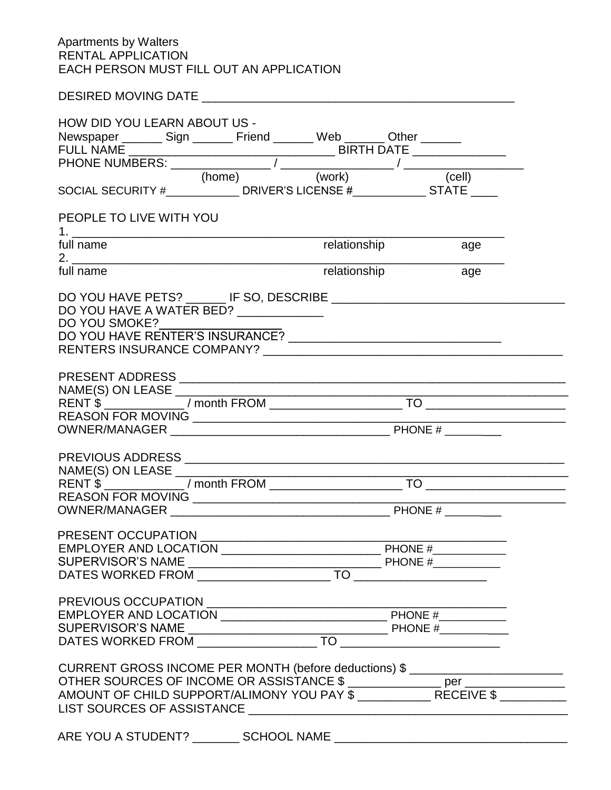## Apartments by Walters RENTAL APPLICATION EACH PERSON MUST FILL OUT AN APPLICATION

| HOW DID YOU LEARN ABOUT US -                                                      |  |                             |  |
|-----------------------------------------------------------------------------------|--|-----------------------------|--|
| Newspaper ________ Sign ________ Friend _______ Web _______ Other _______         |  |                             |  |
|                                                                                   |  |                             |  |
|                                                                                   |  |                             |  |
| PEOPLE TO LIVE WITH YOU                                                           |  |                             |  |
| full name                                                                         |  | relationship age            |  |
| full name                                                                         |  | <b>Trelationship</b><br>age |  |
| DO YOU HAVE A WATER BED? _____________                                            |  |                             |  |
|                                                                                   |  |                             |  |
|                                                                                   |  |                             |  |
|                                                                                   |  |                             |  |
|                                                                                   |  |                             |  |
|                                                                                   |  |                             |  |
|                                                                                   |  |                             |  |
|                                                                                   |  |                             |  |
|                                                                                   |  |                             |  |
|                                                                                   |  |                             |  |
|                                                                                   |  |                             |  |
|                                                                                   |  |                             |  |
|                                                                                   |  |                             |  |
|                                                                                   |  |                             |  |
|                                                                                   |  |                             |  |
|                                                                                   |  |                             |  |
|                                                                                   |  |                             |  |
|                                                                                   |  |                             |  |
|                                                                                   |  |                             |  |
|                                                                                   |  |                             |  |
|                                                                                   |  |                             |  |
| CURRENT GROSS INCOME PER MONTH (before deductions) \$ ___________________________ |  |                             |  |
|                                                                                   |  |                             |  |
|                                                                                   |  |                             |  |
|                                                                                   |  |                             |  |